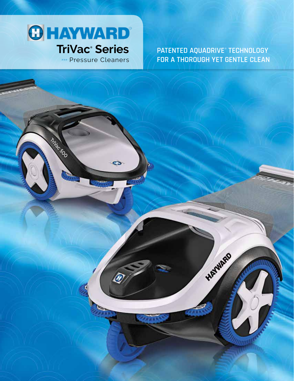

TriVac 500

**>>> Pressure Cleaners** 

 $\ddot{\phantom{0}}$ 

PATENTED AQUADRIVE® TECHNOLOGY FOR A THOROUGH YET GENTLE CLEAN

HATWARD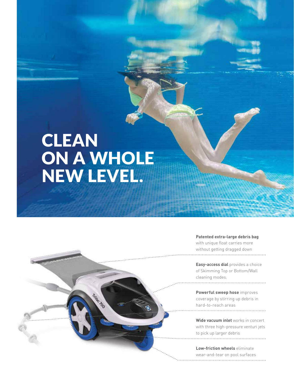# **CLEAN** ON A WHOLE NEW LEVEL.

Tillac too

#### **Patented extra-large debris bag**

with unique float carries more without getting dragged down

**Easy-access dial** provides a choice of Skimming Top or Bottom/Wall cleaning modes.

**Powerful sweep hose** improves coverage by stirring up debris in hard-to-reach areas

**Wide vacuum inlet** works in concert with three high-pressure venturi jets to pick up larger debris

**Low-friction wheels** eliminate wear-and-tear on pool surfaces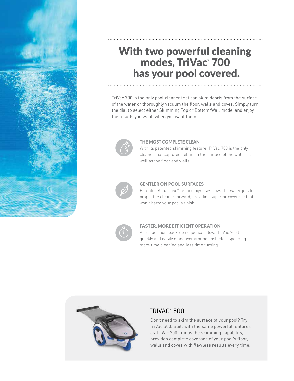

# With two powerful cleaning modes, TriVac<sup>®</sup> 700 has your pool covered.

TriVac 700 is the only pool cleaner that can skim debris from the surface of the water or thoroughly vacuum the floor, walls and coves. Simply turn the dial to select either Skimming Top or Bottom/Wall mode, and enjoy the results you want, when you want them.



#### THE MOST COMPLETE CLEAN

With its patented skimming feature, TriVac 700 is the only cleaner that captures debris on the surface of the water as well as the floor and walls.



#### GENTLER ON POOL SURFACES

Patented AquaDrive® technology uses powerful water jets to propel the cleaner forward, providing superior coverage that won't harm your pool's finish.



#### FASTER, MORE EFFICIENT OPERATION

A unique short back-up sequence allows TriVac 700 to quickly and easily maneuver around obstacles, spending more time cleaning and less time turning.



## TRIVAC® 500

Don't need to skim the surface of your pool? Try TriVac 500. Built with the same powerful features as TriVac 700, minus the skimming capability, it provides complete coverage of your pool's floor, walls and coves with flawless results every time.